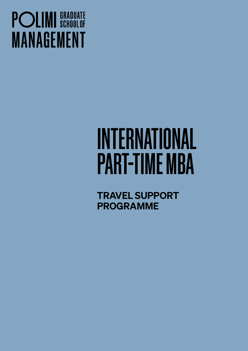## **POLIMI** SCHOOLOF **MANAGEMENT**

# INTERNATIONAL PART-TIME MBA

TRAVEL SUPPORT PROGRAMME